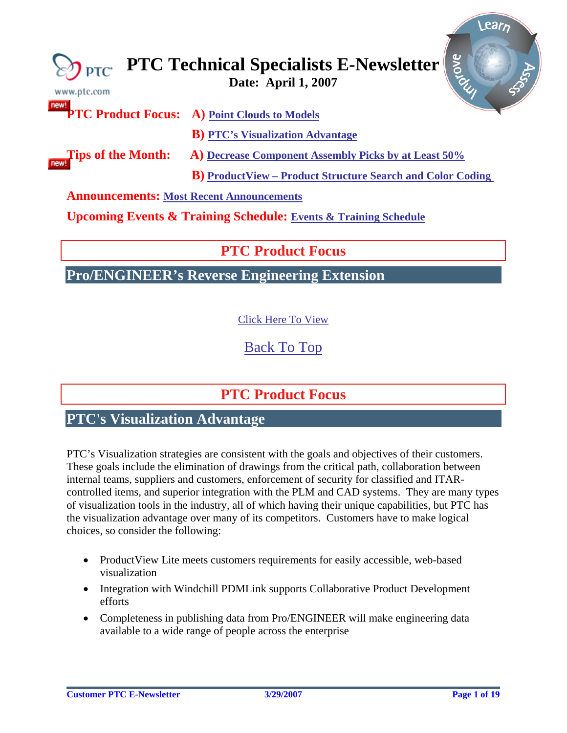<span id="page-0-0"></span>

| www.ptc.com                                     | Riove<br>$\sum_{\text{PTC}} \text{PTC Technical Specialists E-Newsletter}$     |
|-------------------------------------------------|--------------------------------------------------------------------------------|
|                                                 | <b>PTC Product Focus:</b> A) Point Clouds to Models                            |
|                                                 | <b>B)</b> PTC's Visualization Advantage                                        |
| <b>Tips of the Month:</b>                       | A) Decrease Component Assembly Picks by at Least 50%                           |
|                                                 | <b>B</b> ) ProductView – Product Structure Search and Color Coding             |
| <b>Announcements: Most Recent Announcements</b> |                                                                                |
|                                                 | <b>Upcoming Events &amp; Training Schedule: Events &amp; Training Schedule</b> |

# **PTC Product Focus**

**Pro/ENGINEER's Reverse Engineering Extension** 

[Click Here To View](http://members.shaw.ca/jpeng/newsletter/PTC_Technical_Specialists_E-Newsletter_04-01-2007_desktop.pdf)

[Back To Top](#page-0-0)

# **PTC Product Focus**

# **PTC's Visualization Advantage**

PTC's Visualization strategies are consistent with the goals and objectives of their customers. These goals include the elimination of drawings from the critical path, collaboration between internal teams, suppliers and customers, enforcement of security for classified and ITARcontrolled items, and superior integration with the PLM and CAD systems. They are many types of visualization tools in the industry, all of which having their unique capabilities, but PTC has the visualization advantage over many of its competitors. Customers have to make logical choices, so consider the following:

- ProductView Lite meets customers requirements for easily accessible, web-based visualization
- Integration with Windchill PDMLink supports Collaborative Product Development efforts
- Completeness in publishing data from Pro/ENGINEER will make engineering data available to a wide range of people across the enterprise

lear<sub>n</sub>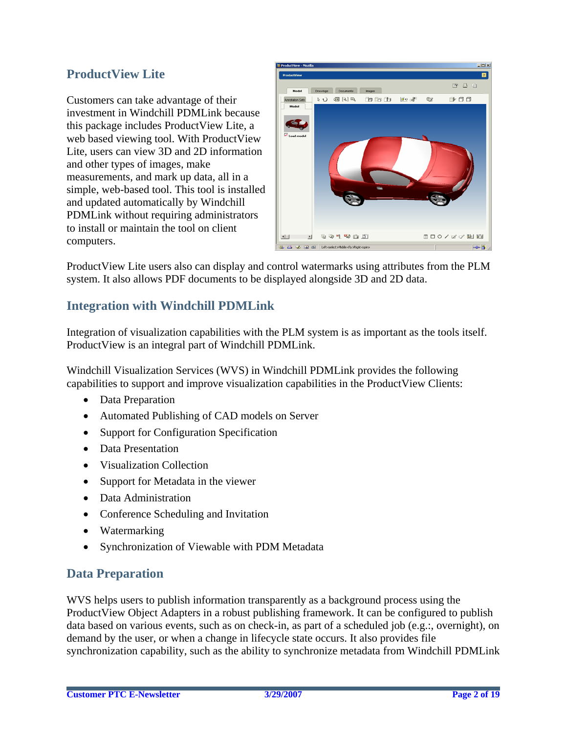## **ProductView Lite**

Customers can take advantage of their investment in Windchill PDMLink because this package includes ProductView Lite, a web based viewing tool. With ProductView Lite, users can view 3D and 2D information and other types of images, make measurements, and mark up data, all in a simple, web-based tool. This tool is installed and updated automatically by Windchill PDMLink without requiring administrators to install or maintain the tool on client computers.



ProductView Lite users also can display and control watermarks using attributes from the PLM system. It also allows PDF documents to be displayed alongside 3D and 2D data.

## **Integration with Windchill PDMLink**

Integration of visualization capabilities with the PLM system is as important as the tools itself. ProductView is an integral part of Windchill PDMLink.

Windchill Visualization Services (WVS) in Windchill PDMLink provides the following capabilities to support and improve visualization capabilities in the ProductView Clients:

- Data Preparation
- Automated Publishing of CAD models on Server
- Support for Configuration Specification
- Data Presentation
- Visualization Collection
- Support for Metadata in the viewer
- Data Administration
- Conference Scheduling and Invitation
- Watermarking
- Synchronization of Viewable with PDM Metadata

### **Data Preparation**

WVS helps users to publish information transparently as a background process using the ProductView Object Adapters in a robust publishing framework. It can be configured to publish data based on various events, such as on check-in, as part of a scheduled job (e.g.:, overnight), on demand by the user, or when a change in lifecycle state occurs. It also provides file synchronization capability, such as the ability to synchronize metadata from Windchill PDMLink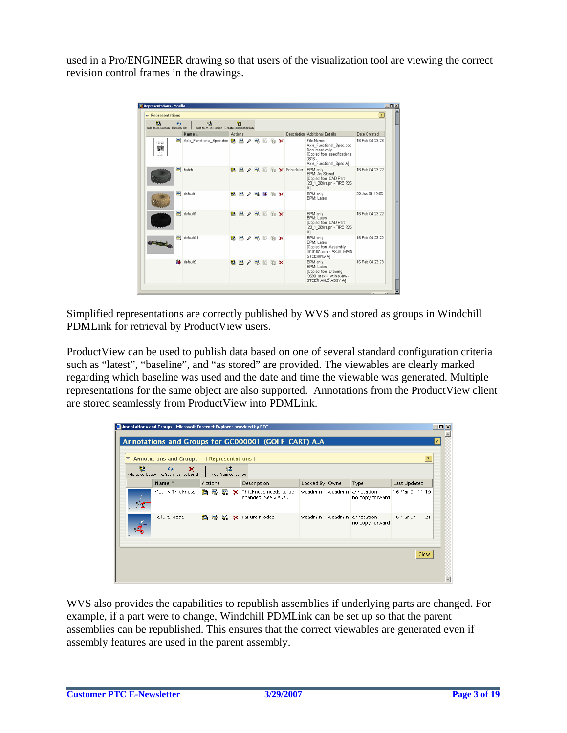used in a Pro/ENGINEER drawing so that users of the visualization tool are viewing the correct revision control frames in the drawings.



Simplified representations are correctly published by WVS and stored as groups in Windchill PDMLink for retrieval by ProductView users.

ProductView can be used to publish data based on one of several standard configuration criteria such as "latest", "baseline", and "as stored" are provided. The viewables are clearly marked regarding which baseline was used and the date and time the viewable was generated. Multiple representations for the same object are also supported. Annotations from the ProductView client are stored seamlessly from ProductView into PDMLink.

| ? <br>▽ Annotations and Groups<br>[Representations]<br>鹊<br>$\epsilon$<br>×<br>膦<br>Add to collection Refresh list Delete all<br>Add from collection |                                        |                     |         |                                       |                                               |                 |                                       |                 |
|------------------------------------------------------------------------------------------------------------------------------------------------------|----------------------------------------|---------------------|---------|---------------------------------------|-----------------------------------------------|-----------------|---------------------------------------|-----------------|
|                                                                                                                                                      | Name $\overline{z}$                    | <b>Actions</b>      |         |                                       | Description                                   | Locked By Owner | Type                                  | Last Updated    |
|                                                                                                                                                      | Modify Thickness- <mark>點 醫 圖 X</mark> |                     |         |                                       | Thickness needs to be<br>changed. See visual. | wcadmin         | wcadmin annotation<br>no copy forward | 16 Mar 04 11:19 |
| Failure Mode<br>医                                                                                                                                    |                                        | 품 제 X Failure modes | wcadmin | wcadmin annotation<br>no copy forward | 16 Mar 04 11:21                               |                 |                                       |                 |

WVS also provides the capabilities to republish assemblies if underlying parts are changed. For example, if a part were to change, Windchill PDMLink can be set up so that the parent assemblies can be republished. This ensures that the correct viewables are generated even if assembly features are used in the parent assembly.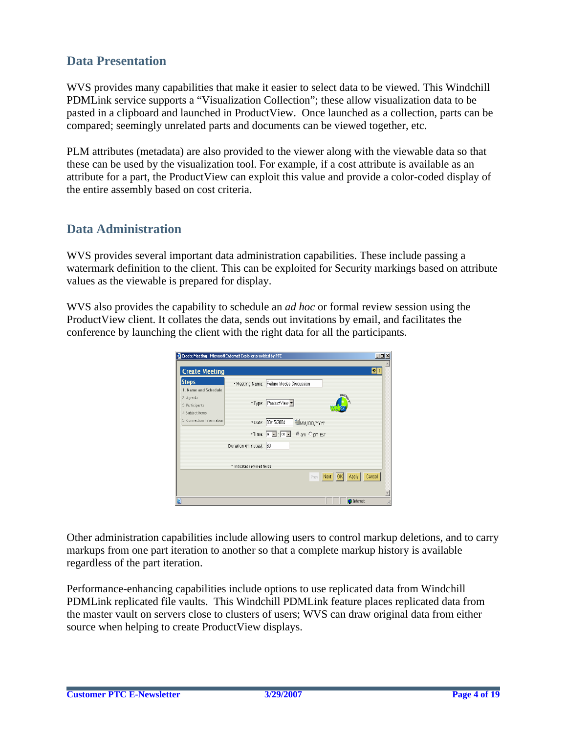### **Data Presentation**

WVS provides many capabilities that make it easier to select data to be viewed. This Windchill PDMLink service supports a "Visualization Collection"; these allow visualization data to be pasted in a clipboard and launched in ProductView. Once launched as a collection, parts can be compared; seemingly unrelated parts and documents can be viewed together, etc.

PLM attributes (metadata) are also provided to the viewer along with the viewable data so that these can be used by the visualization tool. For example, if a cost attribute is available as an attribute for a part, the ProductView can exploit this value and provide a color-coded display of the entire assembly based on cost criteria.

### **Data Administration**

WVS provides several important data administration capabilities. These include passing a watermark definition to the client. This can be exploited for Security markings based on attribute values as the viewable is prepared for display.

WVS also provides the capability to schedule an *ad hoc* or formal review session using the ProductView client. It collates the data, sends out invitations by email, and facilitates the conference by launching the client with the right data for all the participants.

| Create Meeting - Microsoft Internet Explorer provided by PTC |                              | $\Box$                                                                          |
|--------------------------------------------------------------|------------------------------|---------------------------------------------------------------------------------|
| <b>Create Meeting</b>                                        |                              | $\left  \bullet \right $ ?                                                      |
| <b>Steps</b>                                                 |                              | *Meeting Name: Failure Modes Discussion                                         |
| 1. Name and Schedule                                         |                              |                                                                                 |
| 2. Agenda                                                    |                              | POWERED                                                                         |
| 3. Participants                                              |                              | *Type: ProductView v                                                            |
| 4. Subject Items                                             |                              |                                                                                 |
| 5. Connection Information                                    |                              | *Date: 03/15/2004<br>MM/DD/YYYY                                                 |
|                                                              |                              | $*$ Time: $\boxed{9}$ $\boxed{3}$ : $\boxed{60}$ $\boxed{3}$ .<br>G am C pm EST |
|                                                              | Duration (minutes): 60       |                                                                                 |
|                                                              | * Indicates required fields. |                                                                                 |
|                                                              |                              | Cancel<br>Next  <br>Apply<br><b>Prev</b><br>10k                                 |
|                                                              |                              |                                                                                 |
|                                                              |                              |                                                                                 |
|                                                              |                              | <b>D</b> Internet                                                               |

Other administration capabilities include allowing users to control markup deletions, and to carry markups from one part iteration to another so that a complete markup history is available regardless of the part iteration.

Performance-enhancing capabilities include options to use replicated data from Windchill PDMLink replicated file vaults. This Windchill PDMLink feature places replicated data from the master vault on servers close to clusters of users; WVS can draw original data from either source when helping to create ProductView displays.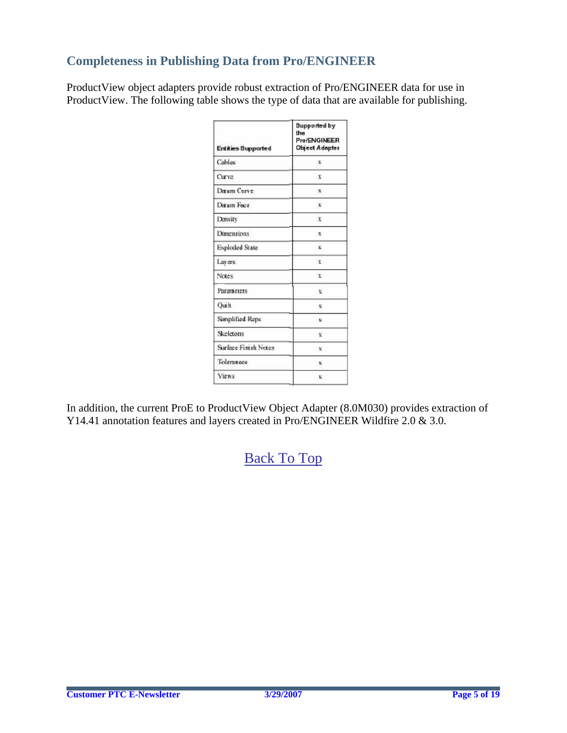## **Completeness in Publishing Data from Pro/ENGINEER**

ProductView object adapters provide robust extraction of Pro/ENGINEER data for use in ProductView. The following table shows the type of data that are available for publishing.

| <b>Entities Supported</b> | <b>Supported by</b><br>the<br>Pre/ENGINEER<br><b>Object Adapter</b> |  |  |
|---------------------------|---------------------------------------------------------------------|--|--|
| Cables                    | r                                                                   |  |  |
| Curve                     | $\mathbf{x}$                                                        |  |  |
| Datum Curve               | $\mathbf{x}$                                                        |  |  |
| Detum Face                | $\mathbf x$                                                         |  |  |
| Density                   | $\mathbf{x}$                                                        |  |  |
| <b>Dimensions</b>         | $\mathbf{x}$                                                        |  |  |
| Exploded State            | $\mathbf x$                                                         |  |  |
| Lavers                    | x                                                                   |  |  |
| Notes                     | x                                                                   |  |  |
| Parameters                | $\bf{v}$                                                            |  |  |
| Quilt                     | $\mathbf{x}$                                                        |  |  |
| Simplified Reps           | - 10                                                                |  |  |
| Skeletons                 | $\bf x$                                                             |  |  |
| Surface Finish Notes      | $\mathbf{x}$                                                        |  |  |
| Toleraneos                | $\boldsymbol{\mathbf{x}}$                                           |  |  |
| Views                     | $\bf{v}$                                                            |  |  |

In addition, the current ProE to ProductView Object Adapter (8.0M030) provides extraction of Y14.41 annotation features and layers created in [P](http://members.shaw.ca/jpeng/newsletter/PTC_Technical_Specialists_E-Newsletter_04-01-2007_enterprise.pdf)ro/ENGINEER Wildfire 2.0 & 3.0.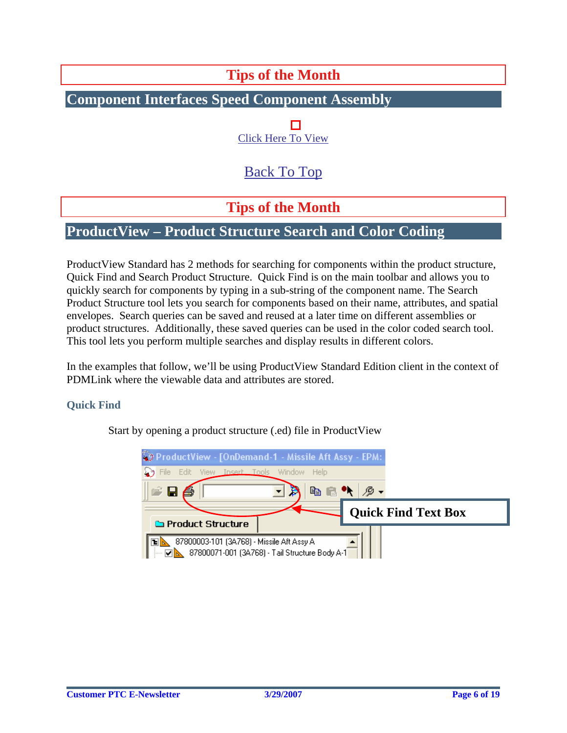# **Tips of the Month**

## <span id="page-5-0"></span>**Component Interfaces Speed Component Assembly**

П [Click Here To View](http://members.shaw.ca/jpeng/newsletter/PTC_Technical_Specialists_E-Newsletter_04-01-2007_desktop.pdf)

# [Back To Top](#page-0-0)

## **Tips of the Month**

## **ProductView – Product Structure Search and Color Coding**

ProductView Standard has 2 methods for searching for components within the product structure, Quick Find and Search Product Structure. Quick Find is on the main toolbar and allows you to quickly search for components by typing in a sub-string of the component name. The Search Product Structure tool lets you search for components based on their name, attributes, and spatial envelopes. Search queries can be saved and reused at a later time on different assemblies or product structures. Additionally, these saved queries can be used in the color coded search tool. This tool lets you perform multiple searches and display results in different colors.

In the examples that follow, we'll be using ProductView Standard Edition client in the context of PDMLink where the viewable data and attributes are stored.

#### **Quick Find**

Start by opening a product structure (.ed) file in ProductView

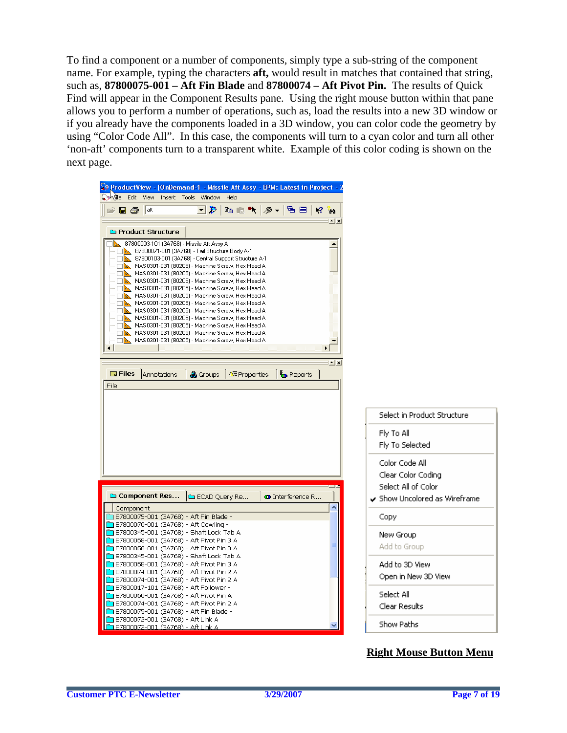To find a component or a number of components, simply type a sub-string of the component name. For example, typing the characters **aft,** would result in matches that contained that string, such as, **87800075-001 – Aft Fin Blade** and **87800074 – Aft Pivot Pin.** The results of Quick Find will appear in the Component Results pane. Using the right mouse button within that pane allows you to perform a number of operations, such as, load the results into a new 3D window or if you already have the components loaded in a 3D window, you can color code the geometry by using "Color Code All". In this case, the components will turn to a cyan color and turn all other 'non-aft' components turn to a transparent white. Example of this color coding is shown on the next page.

| ProductView - [OnDemand-1 - Missile Aft Assy - EPM: Latest in Project -                                                                                                                                                                                                                                                                                                                                                                                                                                                                                                                                                                                                                                                                                               |                                                                                            |
|-----------------------------------------------------------------------------------------------------------------------------------------------------------------------------------------------------------------------------------------------------------------------------------------------------------------------------------------------------------------------------------------------------------------------------------------------------------------------------------------------------------------------------------------------------------------------------------------------------------------------------------------------------------------------------------------------------------------------------------------------------------------------|--------------------------------------------------------------------------------------------|
| ্রু) <mark>ব্যা</mark> e Edit View Insert Tools Window Help<br>e Ba<br>龟 目<br>  aft<br>니원<br><b>þe≒ ♥   ∅ -</b>  <br>$12 - 12$                                                                                                                                                                                                                                                                                                                                                                                                                                                                                                                                                                                                                                        |                                                                                            |
| $ \times$<br><b>Co</b> Product Structure                                                                                                                                                                                                                                                                                                                                                                                                                                                                                                                                                                                                                                                                                                                              |                                                                                            |
|                                                                                                                                                                                                                                                                                                                                                                                                                                                                                                                                                                                                                                                                                                                                                                       |                                                                                            |
| 87800003-101 (3A768) - Missile Aft Assy A<br>87800071-001 (3A768) - Tail Structure Body A-1<br>87800103-001 (3A768) - Central Support Structure A-1<br>NAS0301-031 (80205) - Machine Screw, Hex Head A<br>NAS0301-031 (80205) - Machine Screw, Hex Head A<br>NAS0301-031 (80205) - Machine Screw, Hex Head A<br>п<br>NAS0301-031 (80205) - Machine Screw, Hex Head A<br>NAS0301-031 (80205) - Machine Screw, Hex Head A<br>NAS0301-031 [80205] - Machine Screw, Hex Head A<br>NAS0301-031 (80205) - Machine Screw, Hex Head A<br>NAS0301-031 (80205) - Machine Screw, Hex Head A<br>ш<br>NAS0301-031 (80205) - Machine Screw, Hex Head A<br>□ <mark>△</mark> NAS0301-031 (80205) - Machine Screw, Hex Head A<br>NAS0301-031 (80205) - Machine Screw, Hex Head A<br>国国 |                                                                                            |
| $\Box$ Files                                                                                                                                                                                                                                                                                                                                                                                                                                                                                                                                                                                                                                                                                                                                                          |                                                                                            |
| Annotations<br>ँo Reports<br>& Groups<br>∆ <sup>E</sup> Properties<br>File                                                                                                                                                                                                                                                                                                                                                                                                                                                                                                                                                                                                                                                                                            |                                                                                            |
|                                                                                                                                                                                                                                                                                                                                                                                                                                                                                                                                                                                                                                                                                                                                                                       |                                                                                            |
|                                                                                                                                                                                                                                                                                                                                                                                                                                                                                                                                                                                                                                                                                                                                                                       |                                                                                            |
|                                                                                                                                                                                                                                                                                                                                                                                                                                                                                                                                                                                                                                                                                                                                                                       | Select in Product Structure                                                                |
|                                                                                                                                                                                                                                                                                                                                                                                                                                                                                                                                                                                                                                                                                                                                                                       | Fly To All<br>Fly To Selected                                                              |
| Component Res<br>ECAD Query Re<br><b>O</b> Interference R                                                                                                                                                                                                                                                                                                                                                                                                                                                                                                                                                                                                                                                                                                             | Color Code All<br>Clear Color Coding<br>Select All of Color<br>Show Uncolored as Wireframe |
| Component                                                                                                                                                                                                                                                                                                                                                                                                                                                                                                                                                                                                                                                                                                                                                             |                                                                                            |
| 37800075-001 (3A768) - Aft Fin Blade -<br>37800070-001 (3A768) - Aft Cowling -                                                                                                                                                                                                                                                                                                                                                                                                                                                                                                                                                                                                                                                                                        | Copy                                                                                       |
| ├ 87800345-001 (3A768) - Shaft Lock Tab A                                                                                                                                                                                                                                                                                                                                                                                                                                                                                                                                                                                                                                                                                                                             |                                                                                            |
| 3 87800058-001 (3A768) - Aft Pivot Pin 3 A                                                                                                                                                                                                                                                                                                                                                                                                                                                                                                                                                                                                                                                                                                                            | New Group                                                                                  |
| ן 87800058-001 (3A768) - Aft Pivot Pin 3 A                                                                                                                                                                                                                                                                                                                                                                                                                                                                                                                                                                                                                                                                                                                            | Add to Group                                                                               |
| 37800345-001 (3A768) - Shaft Lock Tab A                                                                                                                                                                                                                                                                                                                                                                                                                                                                                                                                                                                                                                                                                                                               |                                                                                            |
| 3 87800058-001 (3A768) - Aft Pivot Pin 3 A                                                                                                                                                                                                                                                                                                                                                                                                                                                                                                                                                                                                                                                                                                                            | Add to 3D View                                                                             |
| ן 87800074-001 (3A768) - Aft Pivot Pin 2 A<br>ן 87800074-001 (3A768) - Aft Pivot Pin 2 A                                                                                                                                                                                                                                                                                                                                                                                                                                                                                                                                                                                                                                                                              | Open in New 3D View                                                                        |
| - aft Follower (3A768) - Aft Follower (3A768)                                                                                                                                                                                                                                                                                                                                                                                                                                                                                                                                                                                                                                                                                                                         |                                                                                            |
| Aft Pivot Pin A (3A768) - Aft Pivot Pin A                                                                                                                                                                                                                                                                                                                                                                                                                                                                                                                                                                                                                                                                                                                             | Select All                                                                                 |
| <mark>¨</mark> ] 87800074-001 (3A768) - Aft Pivot Pin 2 A                                                                                                                                                                                                                                                                                                                                                                                                                                                                                                                                                                                                                                                                                                             | Clear Results                                                                              |
| - 87800075-001 (3A768) - Aft Fin Blade (1                                                                                                                                                                                                                                                                                                                                                                                                                                                                                                                                                                                                                                                                                                                             |                                                                                            |
| <mark>```</mark> ] 87800072-001 (3A768) - Aft Link A                                                                                                                                                                                                                                                                                                                                                                                                                                                                                                                                                                                                                                                                                                                  | Show Paths                                                                                 |
| <u> - 87800072-001 (3A768) - Aft Link A</u>                                                                                                                                                                                                                                                                                                                                                                                                                                                                                                                                                                                                                                                                                                                           |                                                                                            |

#### **Right Mouse Button Menu**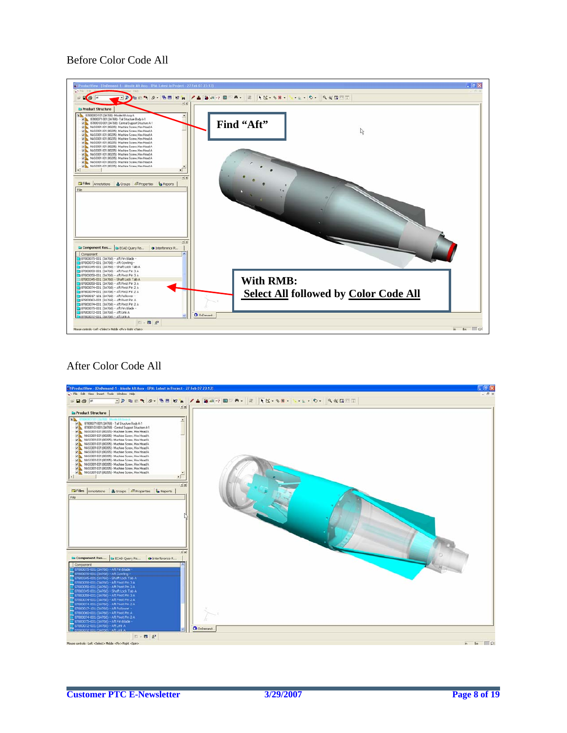#### Before Color Code All



#### After Color Code All

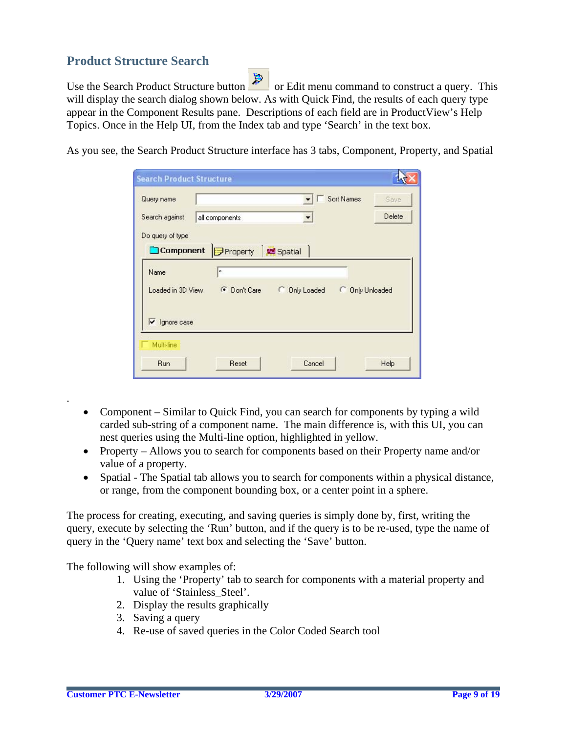### **Product Structure Search**

Use the Search Product Structure button  $\Box$  or Edit menu command to construct a query. This will display the search dialog shown below. As with Quick Find, the results of each query type appear in the Component Results pane. Descriptions of each field are in ProductView's Help Topics. Once in the Help UI, from the Index tab and type 'Search' in the text box.

As you see, the Search Product Structure interface has 3 tabs, Component, Property, and Spatial

| <b>Search Product Structure</b> |                           |             |                            |        |
|---------------------------------|---------------------------|-------------|----------------------------|--------|
| Query name                      |                           |             | Sort Names                 | Save   |
| Search against                  | all components            |             |                            | Delete |
| Do query of type                |                           |             |                            |        |
| Component                       | Property                  | Spatial     |                            |        |
| Name                            | $\boldsymbol{\mathsf{x}}$ |             |                            |        |
| Loaded in 3D View               | <b>C</b> Don't Care       | Only Loaded | <b>Only Unloaded</b><br>C. |        |
| $\triangledown$ Ignore case     |                           |             |                            |        |
| Multi-line                      |                           |             |                            |        |
| <b>Run</b>                      | Reset                     | Cancel      |                            | Help   |

- Component Similar to Quick Find, you can search for components by typing a wild carded sub-string of a component name. The main difference is, with this UI, you can nest queries using the Multi-line option, highlighted in yellow.
- Property Allows you to search for components based on their Property name and/or value of a property.
- Spatial The Spatial tab allows you to search for components within a physical distance, or range, from the component bounding box, or a center point in a sphere.

The process for creating, executing, and saving queries is simply done by, first, writing the query, execute by selecting the 'Run' button, and if the query is to be re-used, type the name of query in the 'Query name' text box and selecting the 'Save' button.

The following will show examples of:

- 1. Using the 'Property' tab to search for components with a material property and value of 'Stainless\_Steel'.
- 2. Display the results graphically
- 3. Saving a query
- 4. Re-use of saved queries in the Color Coded Search tool

.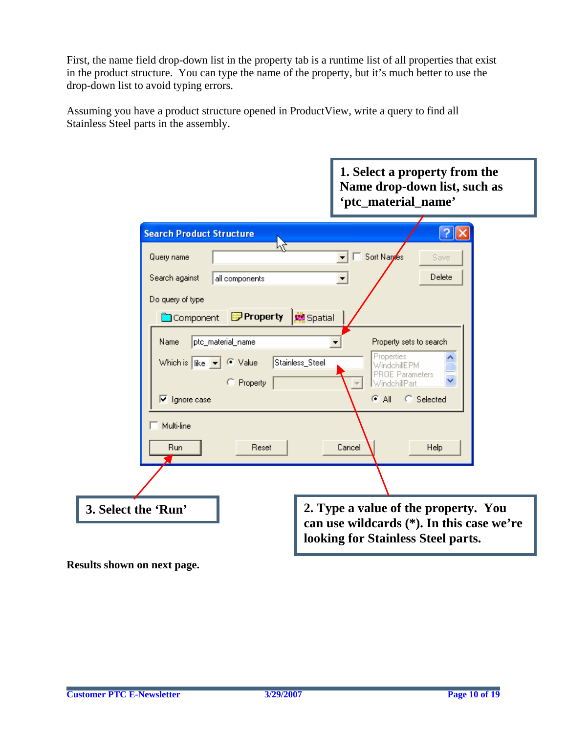First, the name field drop-down list in the property tab is a runtime list of all properties that exist in the product structure. You can type the name of the property, but it's much better to use the drop-down list to avoid typing errors.

Assuming you have a product structure opened in ProductView, write a query to find all Stainless Steel parts in the assembly.

|                                                                                                                                 | 1. Select a property from the<br>Name drop-down list, such as<br>'ptc_material_name'                                                       |
|---------------------------------------------------------------------------------------------------------------------------------|--------------------------------------------------------------------------------------------------------------------------------------------|
| <b>Search Product Structure</b><br>Query name                                                                                   | Sort Naryes<br>Save                                                                                                                        |
| Search against<br>all components<br>Do query of type<br><b>Property</b>   端 Spatial<br>Component                                | Delete                                                                                                                                     |
| ptc_material_name<br>Name<br>Which is $\ $ like $\  \mathbf{v} \ $<br>C Value<br>C Property<br>$\sqrt{\phantom{a}}$ Ignore case | Property sets to search<br>Properties<br>Stainless_Steel<br>WindebillEPM<br><b>PROE Parameters</b><br>WindchillPart<br>⊕ All<br>C Selected |
| Multi-line<br>Run<br>Reset                                                                                                      | Help<br>Cancel                                                                                                                             |
| 3. Select the 'Run'                                                                                                             | 2. Type a value of the property. You<br>can use wildcards (*). In this case we're<br>looking for Stainless Steel parts.                    |

**Results shown on next page.**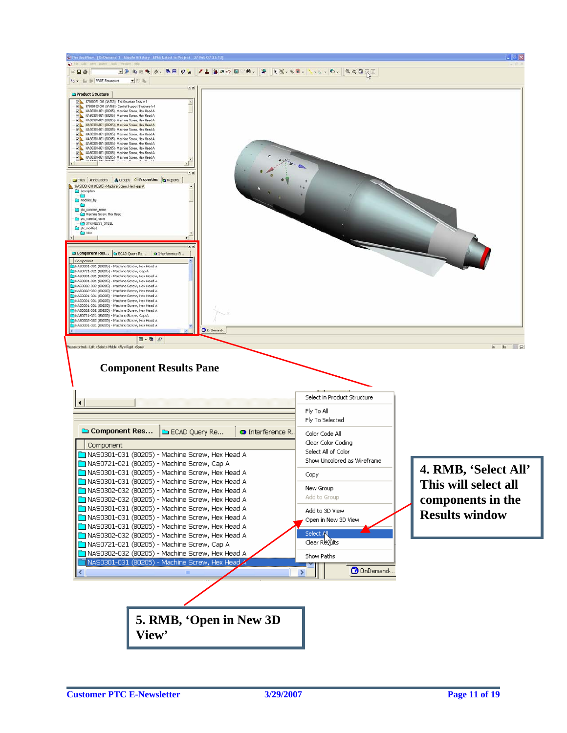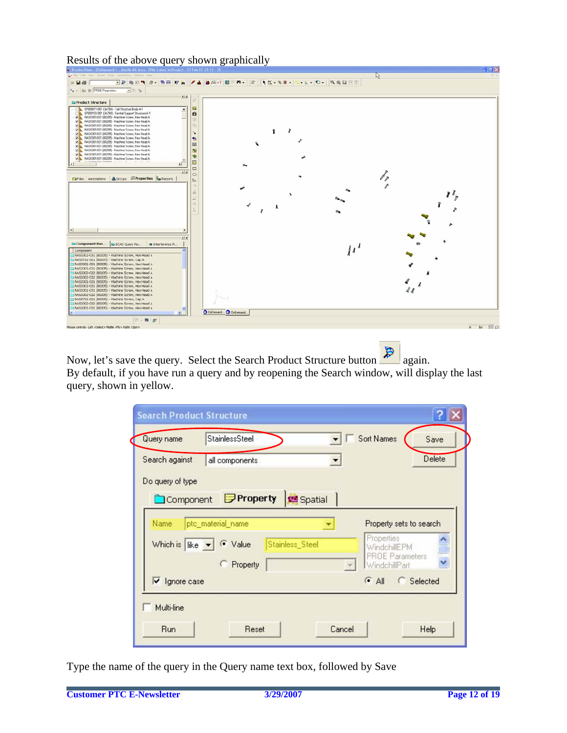Results of the above query shown graphically

| 24 ProductView - [OnDemand-1 - Missile Aft Assy - EPM: Lafest in Project - 27 Feb 07 23:12 : 2]<br>The Edit Your Insert Tools Annotation Window Help |                       | $\mathfrak{a}$ | $-10^{1}$ X   |
|------------------------------------------------------------------------------------------------------------------------------------------------------|-----------------------|----------------|---------------|
| $= 7.4$                                                                                                                                              |                       |                |               |
| Pp - Bu BF PROE Parameters<br>当びる                                                                                                                    |                       |                |               |
| 上出                                                                                                                                                   |                       |                |               |
| <b>Ca</b> Product Structure                                                                                                                          |                       |                |               |
| 87800071-001 (3A768) - Tail Structure Body A-1<br>$\blacktriangle$                                                                                   | 设                     |                |               |
| 87800103-001 (3A768) - Central Support Structure A-1                                                                                                 | a                     |                |               |
| MAS0301-031 (80205) - Machine Screw, Hex Head A<br>MAS 0301-031 (00205) - Machine Screw, Hex Head A                                                  | U)                    |                |               |
| MA NAS0301-031 (80205) - Machine Screw. Hex Head A                                                                                                   | ih.                   |                |               |
| MAS 0301-031 (80205) - Machine Screw, Hex Head A                                                                                                     | ×.                    |                |               |
| MA: NAS0301-031 (80205) - Machine Screw, Hex Head A<br>MAS0301-031 (90205) - Machine Screw. Hex Head A                                               | 整                     |                |               |
| MA NAS0301-031 [80205] - Machine Screw, Hex Head A.                                                                                                  | 圖                     |                |               |
| NAS0301-031 (80205) Machine Screw, Hex Head A.                                                                                                       |                       |                |               |
| MAS 0301-031 (00205) - Machine Screw, Hex Head A<br>MAS0301-031 (80205) - Machine Screw, Hex Head A                                                  | N                     |                |               |
| MAS0301-031 (80205) - Machine Screw, Hex Head A                                                                                                      | $\bullet$             |                |               |
|                                                                                                                                                      | Ø                     |                |               |
|                                                                                                                                                      | $\Box$                |                |               |
| al xi                                                                                                                                                | $\circ$               |                |               |
| <b>Exities</b> Amotations & Groups A <sup>T</sup> Properties <b>b</b> Reports                                                                        | $\mathbb{P}$          |                |               |
|                                                                                                                                                      | $\approx$             |                |               |
|                                                                                                                                                      | ă.                    |                |               |
|                                                                                                                                                      | 2                     |                |               |
|                                                                                                                                                      | ş.                    |                |               |
|                                                                                                                                                      | IJ.                   |                |               |
|                                                                                                                                                      |                       |                |               |
|                                                                                                                                                      |                       |                |               |
|                                                                                                                                                      |                       |                |               |
| $\left  \cdot \right $                                                                                                                               |                       |                |               |
| al st                                                                                                                                                |                       |                |               |
| Component Res C ECAD Quary Re<br><b>O</b> Interference R                                                                                             |                       |                |               |
| Component                                                                                                                                            |                       |                |               |
| NAS0301-031 (80205) - Machine Screw, Hex Head A                                                                                                      |                       |                |               |
| N450721-021 (80205) - Machine Screw, Cap A                                                                                                           |                       |                |               |
| NAS0301-031 (80205) - Machine Screw, Hex Head A                                                                                                      |                       |                |               |
| NAS0301-031 (90205) - Machine Screw, Hex Head A<br>NAS0302-032 (80205) - Machine Screw, Hex Head A                                                   |                       |                |               |
| N450302-032 (80205) - Machine Screw, Hex Head A                                                                                                      |                       |                |               |
| N4S0301-031 (80205) - Machine Screw, Hex Head A                                                                                                      |                       |                |               |
| NAS0301-031 (80205) - Machine Screw, Hex Head A                                                                                                      |                       |                |               |
| NAS0301-031 (80205) - Machine Screw, Hex Head A<br>NAS0302-032 (00205) - Machine Strew, Hex Head A                                                   |                       |                |               |
| NAS0721-021 (80205) - Machine Screw, Cap A                                                                                                           |                       |                |               |
| NAS0302-032 (B0205) - Machine Screw, Hex Head A                                                                                                      |                       |                |               |
| NAS0301-031 (B0205) - Machine Screw, Hex Head A                                                                                                      | O OrDenand O OrDemand |                |               |
| $\rightarrow$                                                                                                                                        |                       |                |               |
| □→ 四 史                                                                                                                                               |                       |                |               |
| Mouse controls - Left <select> Middle <fly> Right <spin></spin></fly></select>                                                                       |                       |                | in the $\rho$ |
|                                                                                                                                                      |                       |                |               |
|                                                                                                                                                      |                       |                |               |
|                                                                                                                                                      |                       |                |               |

Now, let's save the query. Select the Search Product Structure button  $\mathbb{R}$  again. By default, if you have run a query and by reopening the Search window, will display the last query, shown in yellow.

| Search against                   | all components    |                 |               |                                         | Delete     |
|----------------------------------|-------------------|-----------------|---------------|-----------------------------------------|------------|
| Do query of type                 |                   |                 |               |                                         |            |
| Component                        | Property          | Spatial         |               |                                         |            |
| Name                             | ptc_material_name |                 |               | Property sets to search                 |            |
| Which is $\ $ ike $\mathbf{v}\ $ | ← Value           | Stainless_Steel |               | Properties<br>WindchillEPM              |            |
|                                  | C Property        |                 | $\mathcal{H}$ | <b>PROE Parameters</b><br>WindchillPart |            |
| $\triangledown$ Ignore case      |                   |                 |               | $\epsilon$ All                          | C Selected |

Type the name of the query in the Query name text box, followed by Save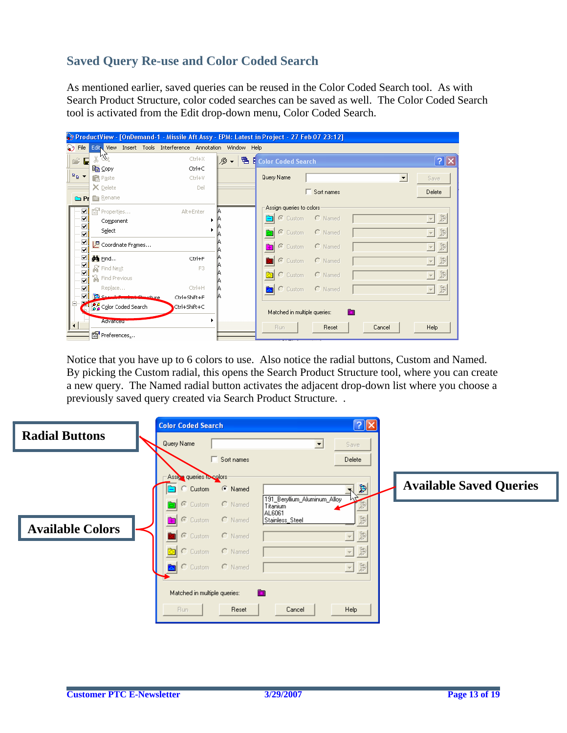## **Saved Query Re-use and Color Coded Search**

As mentioned earlier, saved queries can be reused in the Color Coded Search tool. As with Search Product Structure, color coded searches can be saved as well. The Color Coded Search tool is activated from the Edit drop-down menu, Color Coded Search.

|                             | ProductView - [OnDemand-1 - Missile Aft Assy - EPM; Latest in Project - 27 Feb 07 23:12] |              |     |                               |                   |                      |                                           |
|-----------------------------|------------------------------------------------------------------------------------------|--------------|-----|-------------------------------|-------------------|----------------------|-------------------------------------------|
|                             | Tile Edity View Insert Tools Interference Annotation Window Help                         |              |     |                               |                   |                      |                                           |
| e? E                        | đb.                                                                                      | $Ctr$ H $X$  | י פ | <b>骨 E</b> Color Coded Search |                   |                      | $\sqrt{2}$                                |
|                             | le Copy                                                                                  | Ctrl+C       |     |                               |                   |                      |                                           |
| $\frac{D}{2}$ $\rightarrow$ | <b>R</b> Paste                                                                           | Ctrl+V       |     | Query Name                    |                   | $\blacktriangledown$ | <b>Save</b>                               |
|                             | $\times$ Delete                                                                          | Del          |     |                               | $\Box$ Sort names |                      | Delete                                    |
|                             | <b>Co</b> Pr <b>Read</b> Rename                                                          |              |     |                               |                   |                      |                                           |
|                             | िथ <sup>1</sup> Properties                                                               | Alt+Enter    |     | Assign queries to colors-     |                   |                      |                                           |
| ▽<br>ᢦ                      | Component                                                                                |              |     | C Custom                      | $C$ Named         |                      | 日息                                        |
| $\overline{\mathbf{v}}$     | Select                                                                                   |              |     | C Custom<br>े।                | $\cap$ Named      |                      | $\Xi$ 2                                   |
| ☑<br>⊽                      | P Coordinate Frames                                                                      |              |     | C Custom<br>m                 | $\cap$ Named      |                      | $\frac{1}{2}$<br>$\overline{\mathcal{A}}$ |
| ⊽                           | <b>do</b> Eind                                                                           | Ctrl+F       |     | Custom                        | $\cap$ Named      |                      | $\Rightarrow$<br>$\mathbf{v}$             |
| ⊽<br>⊽                      | ଲେ Find Next                                                                             | F3           |     | লি।                           |                   |                      |                                           |
| ▽                           | <b>A</b> Find Previous                                                                   |              |     | C Custom                      | $C$ Named         |                      | $\Xi$ 2                                   |
| ✓                           | Replace                                                                                  | Ctrl+H       |     | C Custom                      | $C$ Named         |                      | $\overline{\Xi}$ )                        |
| $\Box$                      | Search Product Structure                                                                 | Ctrl+Shift+F |     |                               |                   |                      |                                           |
|                             | ိုင္ပ်ိဳ Color Coded Search                                                              | Ctrl+Shift+C |     | Matched in multiple queries:  | <b>P3</b>         |                      |                                           |
| $\left  \cdot \right $      | <b>Advanceur</b>                                                                         |              |     |                               |                   |                      |                                           |
|                             | Preferences                                                                              |              |     | <b>Run</b>                    | Reset             | Cancel               | Help                                      |

Notice that you have up to 6 colors to use. Also notice the radial buttons, Custom and Named. By picking the Custom radial, this opens the Search Product Structure tool, where you can create a new query. The Named radial button activates the adjacent drop-down list where you choose a previously saved query created via Search Product Structure. .

| <b>Radial Buttons</b>   | <b>Color Coded Search</b>    | $\boxed{?} \times$                               |                                |
|-------------------------|------------------------------|--------------------------------------------------|--------------------------------|
|                         | Query Name                   | ᅬ<br>Save                                        |                                |
|                         | Sort names                   | Delete                                           |                                |
|                         | Assign queries to colors     |                                                  |                                |
|                         | <b>C</b> Named<br>C Custom   | $\blacktriangleright$<br>N<br>nE                 | <b>Available Saved Queries</b> |
|                         | C Custom<br>$\bigcap$ Named  | 191_Beryllium_Aluminum_Alloy<br>Titanium         |                                |
|                         | C Custom<br>C Named          | AL6061<br>$\ddot{\mathbb{P}}$<br>Stainless_Steel |                                |
| <b>Available Colors</b> | C Custom<br>$C$ Named        | $\frac{1}{2}$<br>$\mathbf{v}$                    |                                |
|                         | ो<br>C Custom<br>C Named     | $\frac{1}{\mathcal{M}}$<br>$\mathbf{v}$          |                                |
|                         | C Custom<br>$C$ Named        | $\ddot{\Xi}$<br>회                                |                                |
|                         |                              |                                                  |                                |
|                         | Matched in multiple queries: | <b>E3</b>                                        |                                |
|                         | Run.<br>Reset                | Help<br>Cancel                                   |                                |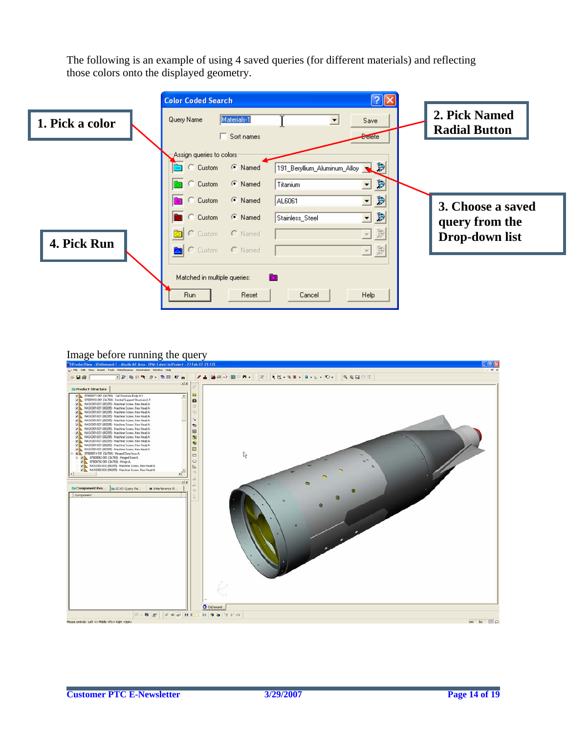The following is an example of using 4 saved queries (for different materials) and reflecting those colors onto the displayed geometry.



#### Image before running the query

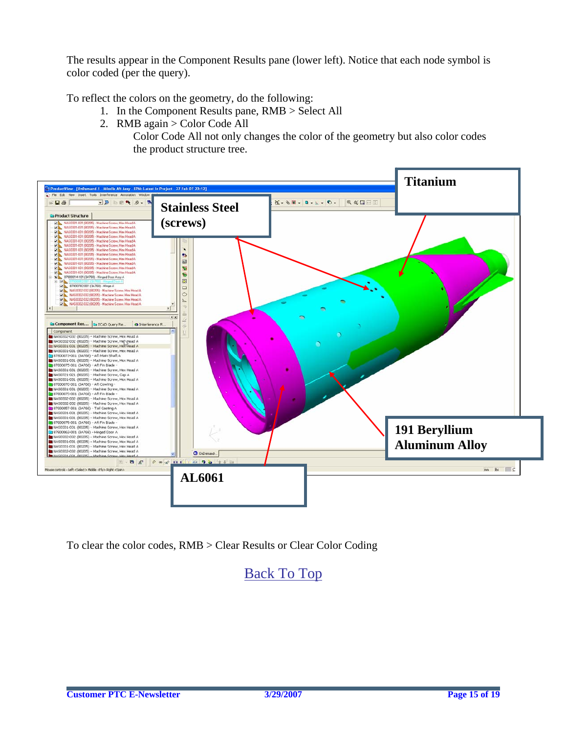The results appear in the Component Results pane (lower left). Notice that each node symbol is color coded (per the query).

To reflect the colors on the geometry, do the following:

- 1. In the Component Results pane, RMB > Select All
- 2. RMB again > Color Code All

Color Code All not only changes the color of the geometry but also color codes the product structure tree.



To clear the color codes, RMB > Clear Results or Clear Color Coding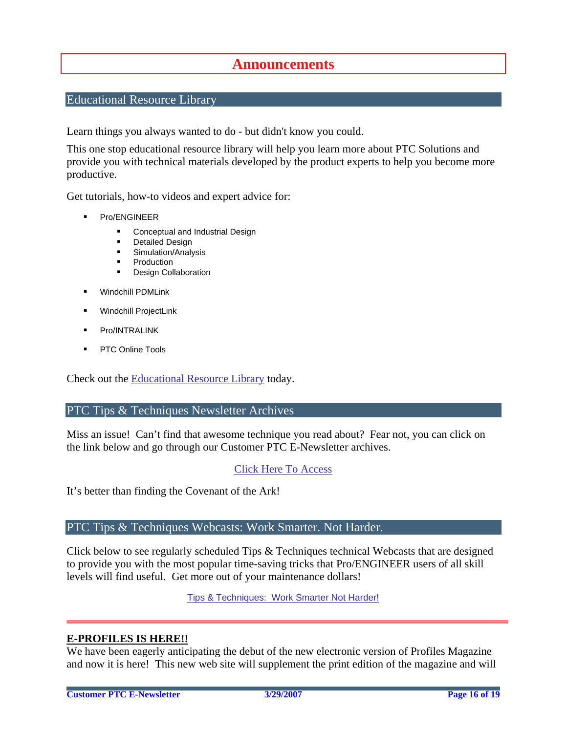## **Announcements**

#### <span id="page-15-0"></span>Educational Resource Library

Learn things you always wanted to do - but didn't know you could.

This one stop educational resource library will help you learn more about PTC Solutions and provide you with technical materials developed by the product experts to help you become more productive.

Get tutorials, how-to videos and expert advice for:

- **Pro/ENGINEER** 
	- **EXECONCEPT** Conceptual and Industrial Design
	- **•** Detailed Design
	- **Simulation/Analysis**
	- Production
	- **Design Collaboration**
- Windchill PDMLink
- Windchill ProjectLink
- Pro/INTRALINK
- PTC Online Tools

Check out the [Educational Resource Library](http://www.ptc.com/community/proewf/newtools/tutorials.htm) today.

#### PTC Tips & Techniques Newsletter Archives

Miss an issue! Can't find that awesome technique you read about? Fear not, you can click on the link below and go through our Customer PTC E-Newsletter archives.

#### [Click Here To Access](http://www.ptc.com/carezone/archive/index.htm)

It's better than finding the Covenant of the Ark!

#### PTC Tips & Techniques Webcasts: Work Smarter. Not Harder.

Click below to see regularly scheduled Tips & Techniques technical Webcasts that are designed to provide you with the most popular time-saving tricks that Pro/ENGINEER users of all skill levels will find useful. Get more out of your maintenance dollars!

Tips & Techniques: Work Smarter Not Harder!

#### **E-PROFILES IS HERE!!**

We have been eagerly anticipating the debut of the new electronic version of Profiles Magazine and now it is here! This new web site will supplement the print edition of the magazine and will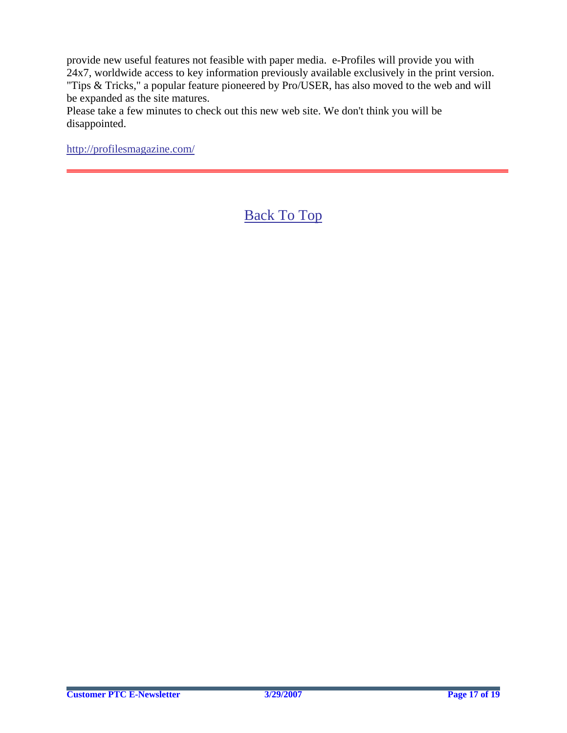provide new useful features not feasible with paper media. e-Profiles will provide you with 24x7, worldwide access to key information previously available exclusively in the print version. "Tips & Tricks," a popular feature pioneered by Pro/USER, has also moved to the web and will be expanded as the site matures.

Please take a few minutes to check out this new web site. We don't think you will be disappointed.

<http://profilesmagazine.com/>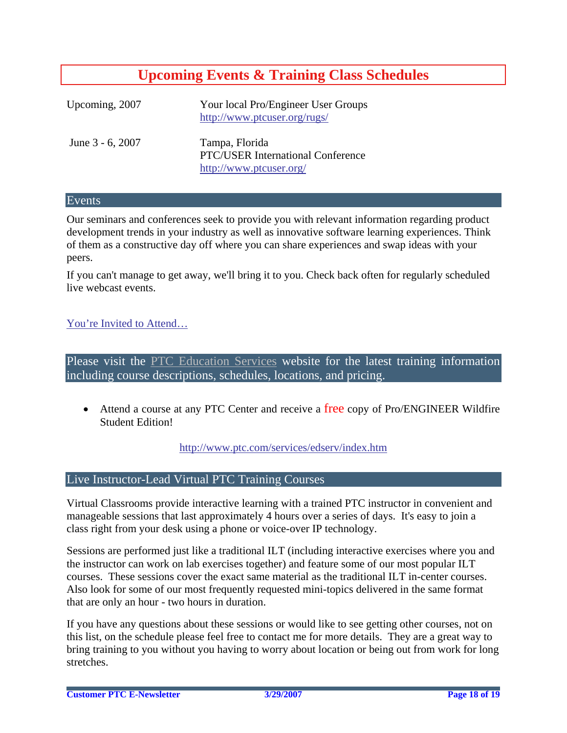# **Upcoming Events & Training Class Schedules**

<span id="page-17-0"></span>

| Upcoming, 2007   | Your local Pro/Engineer User Groups<br>http://www.ptcuser.org/rugs/                   |
|------------------|---------------------------------------------------------------------------------------|
| June 3 - 6, 2007 | Tampa, Florida<br><b>PTC/USER International Conference</b><br>http://www.ptcuser.org/ |

#### Events

Our seminars and conferences seek to provide you with relevant information regarding product development trends in your industry as well as innovative software learning experiences. Think of them as a constructive day off where you can share experiences and swap ideas with your peers.

If you can't manage to get away, we'll bring it to you. Check back often for regularly scheduled live webcast events.

#### [You're Invited to Attend…](http://www.ptc.com/company/news/events/index.htm)

Please visit the [PTC Education Services](http://www.ptc.com/services/edserv/) website for the latest training information including course descriptions, schedules, locations, and pricing.

• Attend a course at any PTC Center and receive a free copy of Pro/ENGINEER Wildfire Student Edition!

<http://www.ptc.com/services/edserv/index.htm>

#### Live Instructor-Lead Virtual PTC Training Courses

Virtual Classrooms provide interactive learning with a trained PTC instructor in convenient and manageable sessions that last approximately 4 hours over a series of days. It's easy to join a class right from your desk using a phone or voice-over IP technology.

Sessions are performed just like a traditional ILT (including interactive exercises where you and the instructor can work on lab exercises together) and feature some of our most popular ILT courses. These sessions cover the exact same material as the traditional ILT in-center courses. Also look for some of our most frequently requested mini-topics delivered in the same format that are only an hour - two hours in duration.

If you have any questions about these sessions or would like to see getting other courses, not on this list, on the schedule please feel free to contact me for more details. They are a great way to bring training to you without you having to worry about location or being out from work for long stretches.